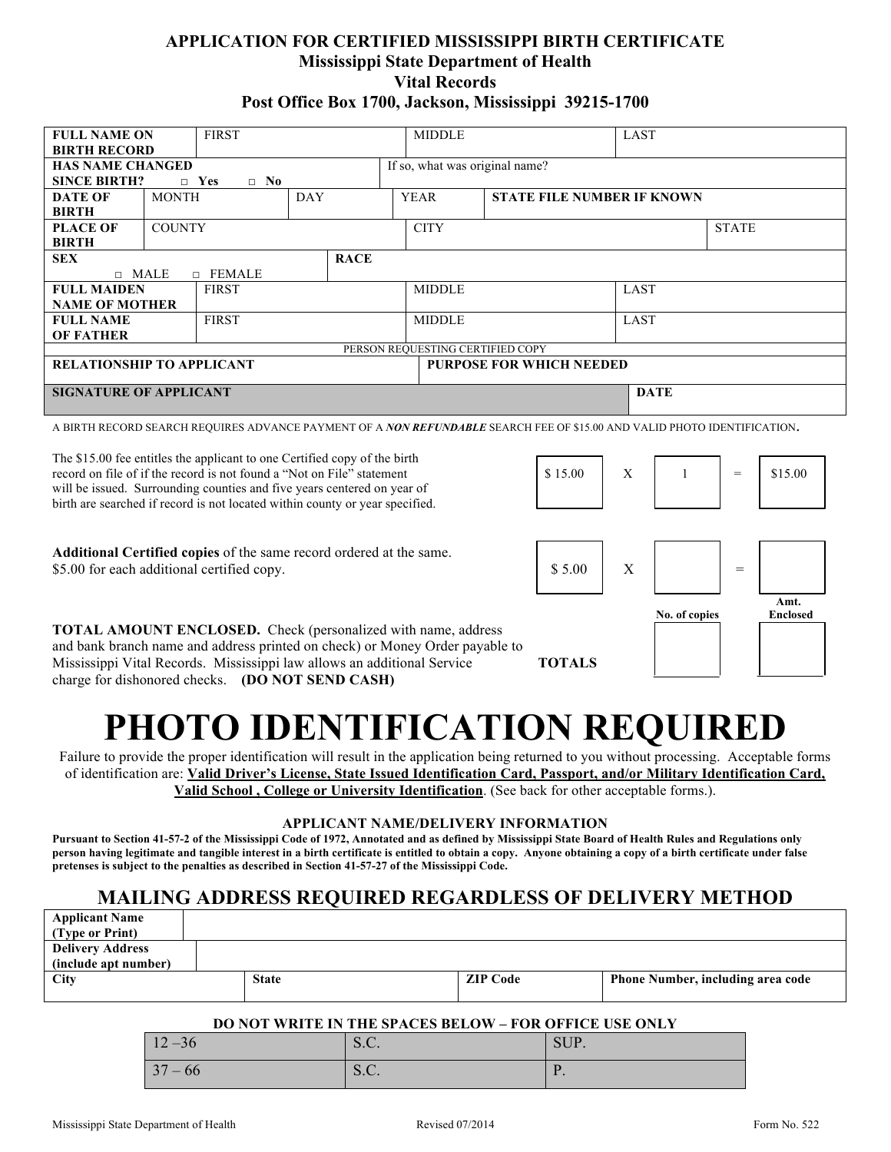### **APPLICATION FOR CERTIFIED MISSISSIPPI BIRTH CERTIFICATE Mississippi State Department of Health Vital Records Post Office Box 1700, Jackson, Mississippi 39215-1700**

| <b>FULL NAME ON</b>                                                                                                      | <b>FIRST</b>               |                 |  |             | <b>MIDDLE</b>                  |                                                  | <b>LAST</b>                     |             |                               |         |  |  |
|--------------------------------------------------------------------------------------------------------------------------|----------------------------|-----------------|--|-------------|--------------------------------|--------------------------------------------------|---------------------------------|-------------|-------------------------------|---------|--|--|
| <b>BIRTH RECORD</b>                                                                                                      |                            |                 |  |             |                                |                                                  |                                 |             |                               |         |  |  |
| <b>HAS NAME CHANGED</b>                                                                                                  |                            |                 |  |             | If so, what was original name? |                                                  |                                 |             |                               |         |  |  |
| <b>SINCE BIRTH?</b><br>$\Box$ No<br>$\Box$ Yes                                                                           |                            |                 |  |             |                                |                                                  |                                 |             |                               |         |  |  |
| <b>DATE OF</b>                                                                                                           | <b>MONTH</b><br><b>DAY</b> |                 |  |             |                                | <b>YEAR</b><br><b>STATE FILE NUMBER IF KNOWN</b> |                                 |             |                               |         |  |  |
| <b>BIRTH</b>                                                                                                             |                            |                 |  |             |                                |                                                  |                                 |             |                               |         |  |  |
| <b>PLACE OF</b>                                                                                                          | <b>COUNTY</b>              |                 |  |             |                                | <b>CITY</b><br><b>STATE</b>                      |                                 |             |                               |         |  |  |
| <b>BIRTH</b>                                                                                                             |                            |                 |  |             |                                |                                                  |                                 |             |                               |         |  |  |
| <b>SEX</b>                                                                                                               |                            |                 |  | <b>RACE</b> |                                |                                                  |                                 |             |                               |         |  |  |
| $\Box$ MALE                                                                                                              |                            | <b>D</b> FEMALE |  |             |                                |                                                  |                                 |             |                               |         |  |  |
| <b>FULL MAIDEN</b>                                                                                                       |                            | <b>FIRST</b>    |  |             |                                | <b>MIDDLE</b>                                    |                                 | <b>LAST</b> |                               |         |  |  |
| <b>NAME OF MOTHER</b>                                                                                                    |                            |                 |  |             |                                |                                                  |                                 |             |                               |         |  |  |
| <b>FULL NAME</b>                                                                                                         |                            | <b>FIRST</b>    |  |             |                                | <b>MIDDLE</b>                                    |                                 |             | LAST                          |         |  |  |
| <b>OF FATHER</b>                                                                                                         |                            |                 |  |             |                                |                                                  |                                 |             |                               |         |  |  |
|                                                                                                                          |                            |                 |  |             |                                | PERSON REQUESTING CERTIFIED COPY                 |                                 |             |                               |         |  |  |
| <b>RELATIONSHIP TO APPLICANT</b>                                                                                         |                            |                 |  |             |                                |                                                  | <b>PURPOSE FOR WHICH NEEDED</b> |             |                               |         |  |  |
| <b>SIGNATURE OF APPLICANT</b>                                                                                            |                            |                 |  |             |                                | <b>DATE</b>                                      |                                 |             |                               |         |  |  |
|                                                                                                                          |                            |                 |  |             |                                |                                                  |                                 |             |                               |         |  |  |
| A BIRTH RECORD SEARCH REQUIRES ADVANCE PAYMENT OF A NON REFUNDABLE SEARCH FEE OF \$15.00 AND VALID PHOTO IDENTIFICATION. |                            |                 |  |             |                                |                                                  |                                 |             |                               |         |  |  |
|                                                                                                                          |                            |                 |  |             |                                |                                                  |                                 |             |                               |         |  |  |
| The \$15.00 fee entitles the applicant to one Certified copy of the birth                                                |                            |                 |  |             |                                |                                                  |                                 |             |                               |         |  |  |
| record on file of if the record is not found a "Not on File" statement                                                   |                            |                 |  |             |                                | \$15.00                                          | $\mathbf{X}$                    |             | $=$                           | \$15.00 |  |  |
| will be issued. Surrounding counties and five years centered on year of                                                  |                            |                 |  |             |                                |                                                  |                                 |             |                               |         |  |  |
| birth are searched if record is not located within county or year specified.                                             |                            |                 |  |             |                                |                                                  |                                 |             |                               |         |  |  |
|                                                                                                                          |                            |                 |  |             |                                |                                                  |                                 |             |                               |         |  |  |
|                                                                                                                          |                            |                 |  |             |                                |                                                  |                                 |             |                               |         |  |  |
| Additional Certified copies of the same record ordered at the same.                                                      |                            |                 |  |             |                                |                                                  |                                 |             |                               |         |  |  |
| \$5.00 for each additional certified copy.                                                                               |                            |                 |  |             |                                | \$5.00                                           | X                               |             | $=$                           |         |  |  |
|                                                                                                                          |                            |                 |  |             |                                |                                                  |                                 |             |                               |         |  |  |
|                                                                                                                          |                            |                 |  |             |                                |                                                  |                                 |             |                               | Amt.    |  |  |
|                                                                                                                          |                            |                 |  |             |                                |                                                  |                                 |             | $\mathbf{r}$ and $\mathbf{r}$ |         |  |  |

**TOTAL AMOUNT ENCLOSED.** Check (personalized with name, address and bank branch name and address printed on check) or Money Order payable Mississippi Vital Records. Mississippi law allows an additional Service charge for dishonored checks. **(DO NOT SEND CASH)**

| birth are searched if record is not located within county or year specified.                                                                         |               |               |                  |
|------------------------------------------------------------------------------------------------------------------------------------------------------|---------------|---------------|------------------|
| <b>Additional Certified copies</b> of the same record ordered at the same.<br>\$5.00 for each additional certified copy.                             | \$ 5.00       |               |                  |
|                                                                                                                                                      |               | No. of copies | Amt.<br>Enclosed |
| <b>TOTAL AMOUNT ENCLOSED.</b> Check (personalized with name, address<br>and bank branch name and address printed on check) or Money Order payable to |               |               |                  |
| Mississippi Vital Records. Mississippi law allows an additional Service<br>charge for dishonored checks $($ DO NOT SEND $C$ ASH)                     | <b>TOTALS</b> |               |                  |

# **PHOTO IDENTIFICATION REQUIRED**

Failure to provide the proper identification will result in the application being returned to you without processing. Acceptable forms of identification are: **Valid Driver's License, State Issued Identification Card, Passport, and/or Military Identification Card, Valid School , College or University Identification**. (See back for other acceptable forms.).

#### **APPLICANT NAME/DELIVERY INFORMATION**

**Pursuant to Section 41-57-2 of the Mississippi Code of 1972, Annotated and as defined by Mississippi State Board of Health Rules and Regulations only person having legitimate and tangible interest in a birth certificate is entitled to obtain a copy. Anyone obtaining a copy of a birth certificate under false pretenses is subject to the penalties as described in Section 41-57-27 of the Mississippi Code.**

## **MAILING ADDRESS REQUIRED REGARDLESS OF DELIVERY METHOD**

| <b>Applicant Name</b>   |              |                 |                                          |
|-------------------------|--------------|-----------------|------------------------------------------|
| (Type or Print)         |              |                 |                                          |
| <b>Delivery Address</b> |              |                 |                                          |
| (include apt number)    |              |                 |                                          |
| <b>City</b>             | <b>State</b> | <b>ZIP</b> Code | <b>Phone Number, including area code</b> |
|                         |              |                 |                                          |

#### **DO NOT WRITE IN THE SPACES BELOW – FOR OFFICE USE ONLY**

| $12 - 36$ | S.C. | SUP. |  |  |
|-----------|------|------|--|--|
| $37 - 66$ | S.C. | . .  |  |  |